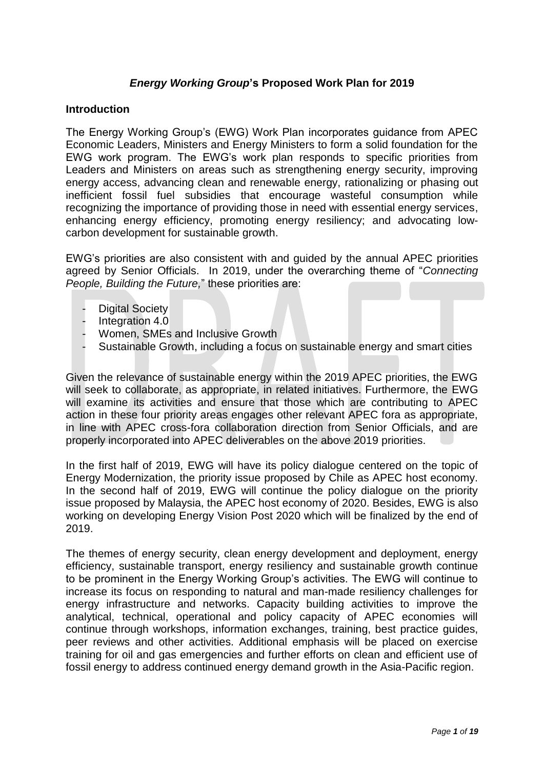# *Energy Working Group***'s Proposed Work Plan for 2019**

#### **Introduction**

The Energy Working Group's (EWG) Work Plan incorporates guidance from APEC Economic Leaders, Ministers and Energy Ministers to form a solid foundation for the EWG work program. The EWG's work plan responds to specific priorities from Leaders and Ministers on areas such as strengthening energy security, improving energy access, advancing clean and renewable energy, rationalizing or phasing out inefficient fossil fuel subsidies that encourage wasteful consumption while recognizing the importance of providing those in need with essential energy services, enhancing energy efficiency, promoting energy resiliency; and advocating lowcarbon development for sustainable growth.

EWG's priorities are also consistent with and guided by the annual APEC priorities agreed by Senior Officials. In 2019, under the overarching theme of "*Connecting People, Building the Future,*" these priorities are:

- Digital Society
- Integration 4.0
- Women, SMEs and Inclusive Growth
- Sustainable Growth, including a focus on sustainable energy and smart cities

Given the relevance of sustainable energy within the 2019 APEC priorities, the EWG will seek to collaborate, as appropriate, in related initiatives. Furthermore, the EWG will examine its activities and ensure that those which are contributing to APEC action in these four priority areas engages other relevant APEC fora as appropriate, in line with APEC cross-fora collaboration direction from Senior Officials, and are properly incorporated into APEC deliverables on the above 2019 priorities.

In the first half of 2019, EWG will have its policy dialogue centered on the topic of Energy Modernization, the priority issue proposed by Chile as APEC host economy. In the second half of 2019, EWG will continue the policy dialogue on the priority issue proposed by Malaysia, the APEC host economy of 2020. Besides, EWG is also working on developing Energy Vision Post 2020 which will be finalized by the end of 2019.

The themes of energy security, clean energy development and deployment, energy efficiency, sustainable transport, energy resiliency and sustainable growth continue to be prominent in the Energy Working Group's activities. The EWG will continue to increase its focus on responding to natural and man-made resiliency challenges for energy infrastructure and networks. Capacity building activities to improve the analytical, technical, operational and policy capacity of APEC economies will continue through workshops, information exchanges, training, best practice guides, peer reviews and other activities. Additional emphasis will be placed on exercise training for oil and gas emergencies and further efforts on clean and efficient use of fossil energy to address continued energy demand growth in the Asia-Pacific region.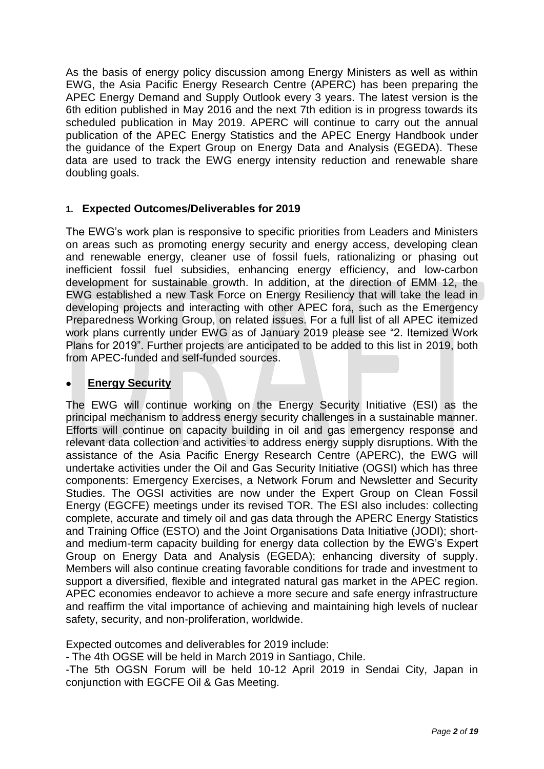As the basis of energy policy discussion among Energy Ministers as well as within EWG, the Asia Pacific Energy Research Centre (APERC) has been preparing the APEC Energy Demand and Supply Outlook every 3 years. The latest version is the 6th edition published in May 2016 and the next 7th edition is in progress towards its scheduled publication in May 2019. APERC will continue to carry out the annual publication of the APEC Energy Statistics and the APEC Energy Handbook under the guidance of the Expert Group on Energy Data and Analysis (EGEDA). These data are used to track the EWG energy intensity reduction and renewable share doubling goals.

### **1. Expected Outcomes/Deliverables for 2019**

The EWG's work plan is responsive to specific priorities from Leaders and Ministers on areas such as promoting energy security and energy access, developing clean and renewable energy, cleaner use of fossil fuels, rationalizing or phasing out inefficient fossil fuel subsidies, enhancing energy efficiency, and low-carbon development for sustainable growth. In addition, at the direction of EMM 12, the EWG established a new Task Force on Energy Resiliency that will take the lead in developing projects and interacting with other APEC fora, such as the Emergency Preparedness Working Group, on related issues. For a full list of all APEC itemized work plans currently under EWG as of January 2019 please see "2. Itemized Work Plans for 2019". Further projects are anticipated to be added to this list in 2019, both from APEC-funded and self-funded sources.

## **Energy Security**

The EWG will continue working on the Energy Security Initiative (ESI) as the principal mechanism to address energy security challenges in a sustainable manner. Efforts will continue on capacity building in oil and gas emergency response and relevant data collection and activities to address energy supply disruptions. With the assistance of the Asia Pacific Energy Research Centre (APERC), the EWG will undertake activities under the Oil and Gas Security Initiative (OGSI) which has three components: Emergency Exercises, a Network Forum and Newsletter and Security Studies. The OGSI activities are now under the Expert Group on Clean Fossil Energy (EGCFE) meetings under its revised TOR. The ESI also includes: collecting complete, accurate and timely oil and gas data through the APERC Energy Statistics and Training Office (ESTO) and the Joint Organisations Data Initiative (JODI); shortand medium-term capacity building for energy data collection by the EWG's Expert Group on Energy Data and Analysis (EGEDA); enhancing diversity of supply. Members will also continue creating favorable conditions for trade and investment to support a diversified, flexible and integrated natural gas market in the APEC region. APEC economies endeavor to achieve a more secure and safe energy infrastructure and reaffirm the vital importance of achieving and maintaining high levels of nuclear safety, security, and non-proliferation, worldwide.

Expected outcomes and deliverables for 2019 include:

- The 4th OGSE will be held in March 2019 in Santiago, Chile.

-The 5th OGSN Forum will be held 10-12 April 2019 in Sendai City, Japan in conjunction with EGCFE Oil & Gas Meeting.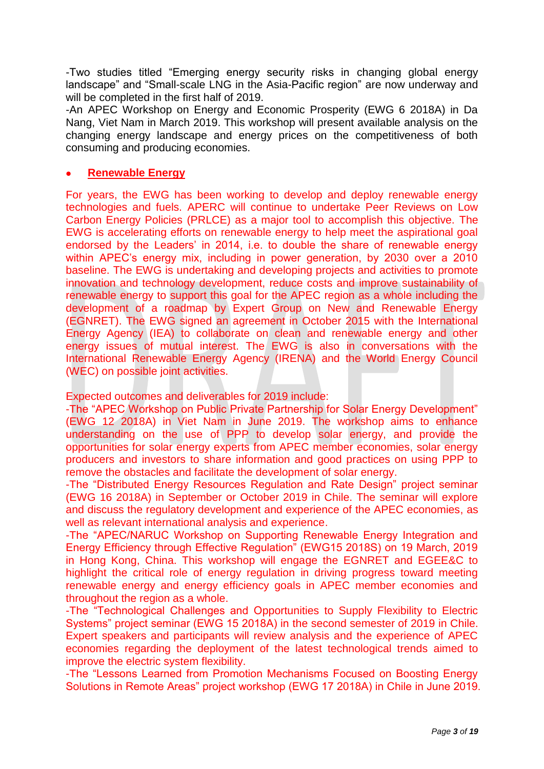-Two studies titled "Emerging energy security risks in changing global energy landscape" and "Small-scale LNG in the Asia-Pacific region" are now underway and will be completed in the first half of 2019.

-An APEC Workshop on Energy and Economic Prosperity (EWG 6 2018A) in Da Nang, Viet Nam in March 2019. This workshop will present available analysis on the changing energy landscape and energy prices on the competitiveness of both consuming and producing economies.

### **Renewable Energy**

For years, the EWG has been working to develop and deploy renewable energy technologies and fuels. APERC will continue to undertake Peer Reviews on Low Carbon Energy Policies (PRLCE) as a major tool to accomplish this objective. The EWG is accelerating efforts on renewable energy to help meet the aspirational goal endorsed by the Leaders' in 2014, i.e. to double the share of renewable energy within APEC's energy mix, including in power generation, by 2030 over a 2010 baseline. The EWG is undertaking and developing projects and activities to promote innovation and technology development, reduce costs and improve sustainability of renewable energy to support this goal for the APEC region as a whole including the development of a roadmap by Expert Group on New and Renewable Energy (EGNRET). The EWG signed an agreement in October 2015 with the International Energy Agency (IEA) to collaborate on clean and renewable energy and other energy issues of mutual interest. The EWG is also in conversations with the International Renewable Energy Agency (IRENA) and the World Energy Council (WEC) on possible joint activities.

Expected outcomes and deliverables for 2019 include:

-The "APEC Workshop on Public Private Partnership for Solar Energy Development" (EWG 12 2018A) in Viet Nam in June 2019. The workshop aims to enhance understanding on the use of PPP to develop solar energy, and provide the opportunities for solar energy experts from APEC member economies, solar energy producers and investors to share information and good practices on using PPP to remove the obstacles and facilitate the development of solar energy.

-The "Distributed Energy Resources Regulation and Rate Design" project seminar (EWG 16 2018A) in September or October 2019 in Chile. The seminar will explore and discuss the regulatory development and experience of the APEC economies, as well as relevant international analysis and experience.

-The "APEC/NARUC Workshop on Supporting Renewable Energy Integration and Energy Efficiency through Effective Regulation" (EWG15 2018S) on 19 March, 2019 in Hong Kong, China. This workshop will engage the EGNRET and EGEE&C to highlight the critical role of energy regulation in driving progress toward meeting renewable energy and energy efficiency goals in APEC member economies and throughout the region as a whole.

-The "Technological Challenges and Opportunities to Supply Flexibility to Electric Systems" project seminar (EWG 15 2018A) in the second semester of 2019 in Chile. Expert speakers and participants will review analysis and the experience of APEC economies regarding the deployment of the latest technological trends aimed to improve the electric system flexibility.

-The "Lessons Learned from Promotion Mechanisms Focused on Boosting Energy Solutions in Remote Areas" project workshop (EWG 17 2018A) in Chile in June 2019.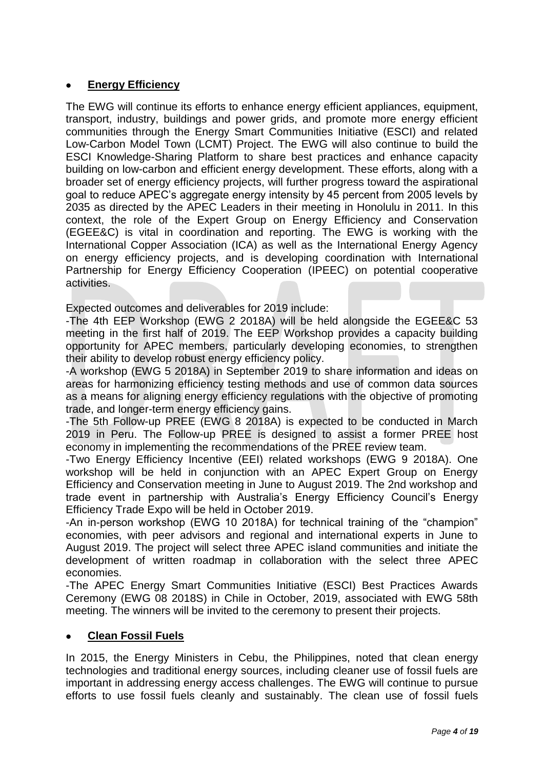## **Energy Efficiency**

The EWG will continue its efforts to enhance energy efficient appliances, equipment, transport, industry, buildings and power grids, and promote more energy efficient communities through the Energy Smart Communities Initiative (ESCI) and related Low-Carbon Model Town (LCMT) Project. The EWG will also continue to build the ESCI Knowledge-Sharing Platform to share best practices and enhance capacity building on low-carbon and efficient energy development. These efforts, along with a broader set of energy efficiency projects, will further progress toward the aspirational goal to reduce APEC's aggregate energy intensity by 45 percent from 2005 levels by 2035 as directed by the APEC Leaders in their meeting in Honolulu in 2011. In this context, the role of the Expert Group on Energy Efficiency and Conservation (EGEE&C) is vital in coordination and reporting. The EWG is working with the International Copper Association (ICA) as well as the International Energy Agency on energy efficiency projects, and is developing coordination with International Partnership for Energy Efficiency Cooperation (IPEEC) on potential cooperative activities.

Expected outcomes and deliverables for 2019 include:

-The 4th EEP Workshop (EWG 2 2018A) will be held alongside the EGEE&C 53 meeting in the first half of 2019. The EEP Workshop provides a capacity building opportunity for APEC members, particularly developing economies, to strengthen their ability to develop robust energy efficiency policy.

-A workshop (EWG 5 2018A) in September 2019 to share information and ideas on areas for harmonizing efficiency testing methods and use of common data sources as a means for aligning energy efficiency regulations with the objective of promoting trade, and longer-term energy efficiency gains.

-The 5th Follow-up PREE (EWG 8 2018A) is expected to be conducted in March 2019 in Peru. The Follow-up PREE is designed to assist a former PREE host economy in implementing the recommendations of the PREE review team.

-Two Energy Efficiency Incentive (EEI) related workshops (EWG 9 2018A). One workshop will be held in conjunction with an APEC Expert Group on Energy Efficiency and Conservation meeting in June to August 2019. The 2nd workshop and trade event in partnership with Australia's Energy Efficiency Council's Energy Efficiency Trade Expo will be held in October 2019.

-An in-person workshop (EWG 10 2018A) for technical training of the "champion" economies, with peer advisors and regional and international experts in June to August 2019. The project will select three APEC island communities and initiate the development of written roadmap in collaboration with the select three APEC economies.

-The APEC Energy Smart Communities Initiative (ESCI) Best Practices Awards Ceremony (EWG 08 2018S) in Chile in October, 2019, associated with EWG 58th meeting. The winners will be invited to the ceremony to present their projects.

### **Clean Fossil Fuels**

In 2015, the Energy Ministers in Cebu, the Philippines, noted that clean energy technologies and traditional energy sources, including cleaner use of fossil fuels are important in addressing energy access challenges. The EWG will continue to pursue efforts to use fossil fuels cleanly and sustainably. The clean use of fossil fuels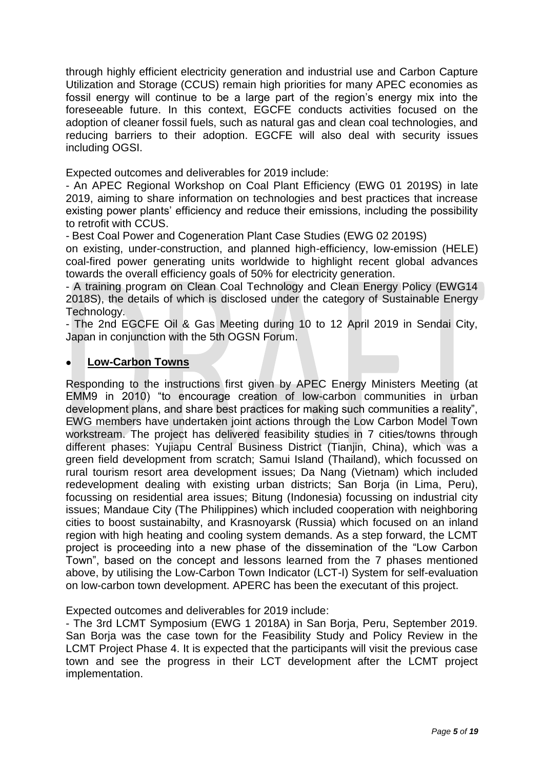through highly efficient electricity generation and industrial use and Carbon Capture Utilization and Storage (CCUS) remain high priorities for many APEC economies as fossil energy will continue to be a large part of the region's energy mix into the foreseeable future. In this context, EGCFE conducts activities focused on the adoption of cleaner fossil fuels, such as natural gas and clean coal technologies, and reducing barriers to their adoption. EGCFE will also deal with security issues including OGSI.

Expected outcomes and deliverables for 2019 include:

- An APEC Regional Workshop on Coal Plant Efficiency (EWG 01 2019S) in late 2019, aiming to share information on technologies and best practices that increase existing power plants' efficiency and reduce their emissions, including the possibility to retrofit with CCUS.

- Best Coal Power and Cogeneration Plant Case Studies (EWG 02 2019S)

on existing, under-construction, and planned high-efficiency, low-emission (HELE) coal-fired power generating units worldwide to highlight recent global advances towards the overall efficiency goals of 50% for electricity generation.

- A training program on Clean Coal Technology and Clean Energy Policy (EWG14 2018S), the details of which is disclosed under the category of Sustainable Energy Technology.

- The 2nd EGCFE Oil & Gas Meeting during 10 to 12 April 2019 in Sendai City, Japan in conjunction with the 5th OGSN Forum.

#### **Low-Carbon Towns**

Responding to the instructions first given by APEC Energy Ministers Meeting (at EMM9 in 2010) "to encourage creation of low-carbon communities in urban development plans, and share best practices for making such communities a reality", EWG members have undertaken joint actions through the Low Carbon Model Town workstream. The project has delivered feasibility studies in 7 cities/towns through different phases: Yujiapu Central Business District (Tianjin, China), which was a green field development from scratch; Samui Island (Thailand), which focussed on rural tourism resort area development issues; Da Nang (Vietnam) which included redevelopment dealing with existing urban districts: San Boria (in Lima, Peru), focussing on residential area issues; Bitung (Indonesia) focussing on industrial city issues; Mandaue City (The Philippines) which included cooperation with neighboring cities to boost sustainabilty, and Krasnoyarsk (Russia) which focused on an inland region with high heating and cooling system demands. As a step forward, the LCMT project is proceeding into a new phase of the dissemination of the "Low Carbon Town", based on the concept and lessons learned from the 7 phases mentioned above, by utilising the Low-Carbon Town Indicator (LCT-I) System for self-evaluation on low-carbon town development. APERC has been the executant of this project.

#### Expected outcomes and deliverables for 2019 include:

- The 3rd LCMT Symposium (EWG 1 2018A) in San Borja, Peru, September 2019. San Boria was the case town for the Feasibility Study and Policy Review in the LCMT Project Phase 4. It is expected that the participants will visit the previous case town and see the progress in their LCT development after the LCMT project implementation.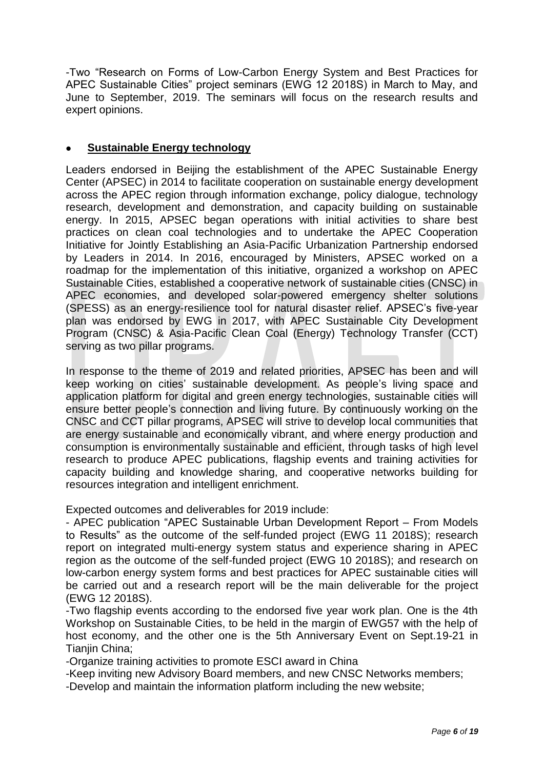-Two "Research on Forms of Low-Carbon Energy System and Best Practices for APEC Sustainable Cities" project seminars (EWG 12 2018S) in March to May, and June to September, 2019. The seminars will focus on the research results and expert opinions.

## **Sustainable Energy technology**

Leaders endorsed in Beijing the establishment of the APEC Sustainable Energy Center (APSEC) in 2014 to facilitate cooperation on sustainable energy development across the APEC region through information exchange, policy dialogue, technology research, development and demonstration, and capacity building on sustainable energy. In 2015, APSEC began operations with initial activities to share best practices on clean coal technologies and to undertake the APEC Cooperation Initiative for Jointly Establishing an Asia-Pacific Urbanization Partnership endorsed by Leaders in 2014. In 2016, encouraged by Ministers, APSEC worked on a roadmap for the implementation of this initiative, organized a workshop on APEC Sustainable Cities, established a cooperative network of sustainable cities (CNSC) in APEC economies, and developed solar-powered emergency shelter solutions (SPESS) as an energy-resilience tool for natural disaster relief. APSEC's five-year plan was endorsed by EWG in 2017, with APEC Sustainable City Development Program (CNSC) & Asia-Pacific Clean Coal (Energy) Technology Transfer (CCT) serving as two pillar programs.

In response to the theme of 2019 and related priorities, APSEC has been and will keep working on cities' sustainable development. As people's living space and application platform for digital and green energy technologies, sustainable cities will ensure better people's connection and living future. By continuously working on the CNSC and CCT pillar programs, APSEC will strive to develop local communities that are energy sustainable and economically vibrant, and where energy production and consumption is environmentally sustainable and efficient, through tasks of high level research to produce APEC publications, flagship events and training activities for capacity building and knowledge sharing, and cooperative networks building for resources integration and intelligent enrichment.

Expected outcomes and deliverables for 2019 include:

- APEC publication "APEC Sustainable Urban Development Report – From Models to Results" as the outcome of the self-funded project (EWG 11 2018S); research report on integrated multi-energy system status and experience sharing in APEC region as the outcome of the self-funded project (EWG 10 2018S); and research on low-carbon energy system forms and best practices for APEC sustainable cities will be carried out and a research report will be the main deliverable for the project (EWG 12 2018S).

-Two flagship events according to the endorsed five year work plan. One is the 4th Workshop on Sustainable Cities, to be held in the margin of EWG57 with the help of host economy, and the other one is the 5th Anniversary Event on Sept.19-21 in Tianiin China:

-Organize training activities to promote ESCI award in China

-Keep inviting new Advisory Board members, and new CNSC Networks members;

-Develop and maintain the information platform including the new website;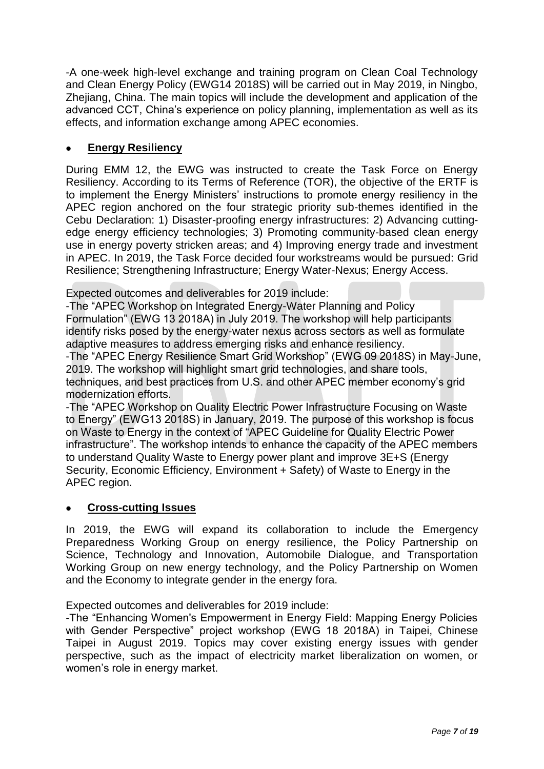-A one-week high-level exchange and training program on Clean Coal Technology and Clean Energy Policy (EWG14 2018S) will be carried out in May 2019, in Ningbo, Zhejiang, China. The main topics will include the development and application of the advanced CCT, China's experience on policy planning, implementation as well as its effects, and information exchange among APEC economies.

# **Energy Resiliency**

During EMM 12, the EWG was instructed to create the Task Force on Energy Resiliency. According to its Terms of Reference (TOR), the objective of the ERTF is to implement the Energy Ministers' instructions to promote energy resiliency in the APEC region anchored on the four strategic priority sub-themes identified in the Cebu Declaration: 1) Disaster-proofing energy infrastructures: 2) Advancing cuttingedge energy efficiency technologies; 3) Promoting community-based clean energy use in energy poverty stricken areas; and 4) Improving energy trade and investment in APEC. In 2019, the Task Force decided four workstreams would be pursued: Grid Resilience; Strengthening Infrastructure; Energy Water-Nexus; Energy Access.

Expected outcomes and deliverables for 2019 include:

-The "APEC Workshop on Integrated Energy-Water Planning and Policy Formulation" (EWG 13 2018A) in July 2019. The workshop will help participants identify risks posed by the energy-water nexus across sectors as well as formulate adaptive measures to address emerging risks and enhance resiliency.

-The "APEC Energy Resilience Smart Grid Workshop" (EWG 09 2018S) in May-June, 2019. The workshop will highlight smart grid technologies, and share tools, techniques, and best practices from U.S. and other APEC member economy's grid modernization efforts.

-The "APEC Workshop on Quality Electric Power Infrastructure Focusing on Waste to Energy" (EWG13 2018S) in January, 2019. The purpose of this workshop is focus on Waste to Energy in the context of "APEC Guideline for Quality Electric Power infrastructure". The workshop intends to enhance the capacity of the APEC members to understand Quality Waste to Energy power plant and improve 3E+S (Energy Security, Economic Efficiency, Environment + Safety) of Waste to Energy in the APEC region.

# **Cross-cutting Issues**

In 2019, the EWG will expand its collaboration to include the Emergency Preparedness Working Group on energy resilience, the Policy Partnership on Science, Technology and Innovation, Automobile Dialogue, and Transportation Working Group on new energy technology, and the Policy Partnership on Women and the Economy to integrate gender in the energy fora.

Expected outcomes and deliverables for 2019 include:

-The "Enhancing Women's Empowerment in Energy Field: Mapping Energy Policies with Gender Perspective" project workshop (EWG 18 2018A) in Taipei, Chinese Taipei in August 2019. Topics may cover existing energy issues with gender perspective, such as the impact of electricity market liberalization on women, or women's role in energy market.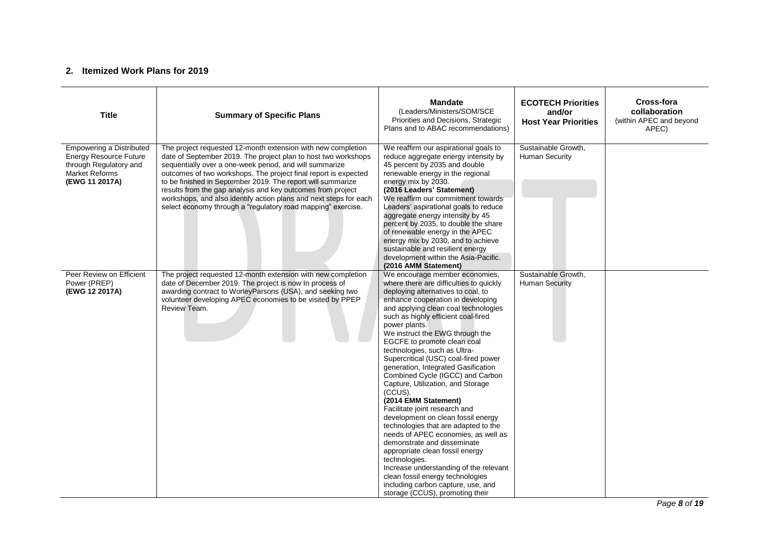#### **2. Itemized Work Plans for 2019**

| <b>Title</b>                                                                                                                   | <b>Summary of Specific Plans</b>                                                                                                                                                                                                                                                                                                                                                                                                                                                                                                | <b>Mandate</b><br>(Leaders/Ministers/SOM/SCE<br>Priorities and Decisions, Strategic<br>Plans and to ABAC recommendations)                                                                                                                                                                                                                                                                                                                                                                                                                                                                                                                                                                                                                                                                                                                                                                                                                         | <b>ECOTECH Priorities</b><br>and/or<br><b>Host Year Priorities</b> | Cross-fora<br>collaboration<br>(within APEC and beyond<br>APEC) |
|--------------------------------------------------------------------------------------------------------------------------------|---------------------------------------------------------------------------------------------------------------------------------------------------------------------------------------------------------------------------------------------------------------------------------------------------------------------------------------------------------------------------------------------------------------------------------------------------------------------------------------------------------------------------------|---------------------------------------------------------------------------------------------------------------------------------------------------------------------------------------------------------------------------------------------------------------------------------------------------------------------------------------------------------------------------------------------------------------------------------------------------------------------------------------------------------------------------------------------------------------------------------------------------------------------------------------------------------------------------------------------------------------------------------------------------------------------------------------------------------------------------------------------------------------------------------------------------------------------------------------------------|--------------------------------------------------------------------|-----------------------------------------------------------------|
| <b>Empowering a Distributed</b><br><b>Energy Resource Future</b><br>through Regulatory and<br>Market Reforms<br>(EWG 11 2017A) | The project requested 12-month extension with new completion<br>date of September 2019. The project plan to host two workshops<br>sequentially over a one-week period, and will summarize<br>outcomes of two workshops. The project final report is expected<br>to be finished in September 2019. The report will summarize<br>results from the gap analysis and key outcomes from project<br>workshops, and also identify action plans and next steps for each<br>select economy through a "regulatory road mapping" exercise. | We reaffirm our aspirational goals to<br>reduce aggregate energy intensity by<br>45 percent by 2035 and double<br>renewable energy in the regional<br>energy mix by 2030.<br>(2016 Leaders' Statement)<br>We reaffirm our commitment towards<br>Leaders' aspirational goals to reduce<br>aggregate energy intensity by 45<br>percent by 2035, to double the share<br>of renewable energy in the APEC<br>energy mix by 2030, and to achieve<br>sustainable and resilient energy<br>development within the Asia-Pacific.<br>(2016 AMM Statement)                                                                                                                                                                                                                                                                                                                                                                                                    | Sustainable Growth,<br>Human Security                              |                                                                 |
| Peer Review on Efficient<br>Power (PREP)<br>(EWG 12 2017A)                                                                     | The project requested 12-month extension with new completion<br>date of December 2019. The project is now In process of<br>awarding contract to WorleyParsons (USA), and seeking two<br>volunteer developing APEC economies to be visited by PPEP<br>Review Team.                                                                                                                                                                                                                                                               | We encourage member economies,<br>where there are difficulties to quickly<br>deploying alternatives to coal, to<br>enhance cooperation in developing<br>and applying clean coal technologies<br>such as highly efficient coal-fired<br>power plants.<br>We instruct the EWG through the<br>EGCFE to promote clean coal<br>technologies, such as Ultra-<br>Supercritical (USC) coal-fired power<br>generation, Integrated Gasification<br>Combined Cycle (IGCC) and Carbon<br>Capture, Utilization, and Storage<br>(CCUS).<br>(2014 EMM Statement)<br>Facilitate joint research and<br>development on clean fossil energy<br>technologies that are adapted to the<br>needs of APEC economies, as well as<br>demonstrate and disseminate<br>appropriate clean fossil energy<br>technologies.<br>Increase understanding of the relevant<br>clean fossil energy technologies<br>including carbon capture, use, and<br>storage (CCUS), promoting their | Sustainable Growth,<br><b>Human Security</b>                       |                                                                 |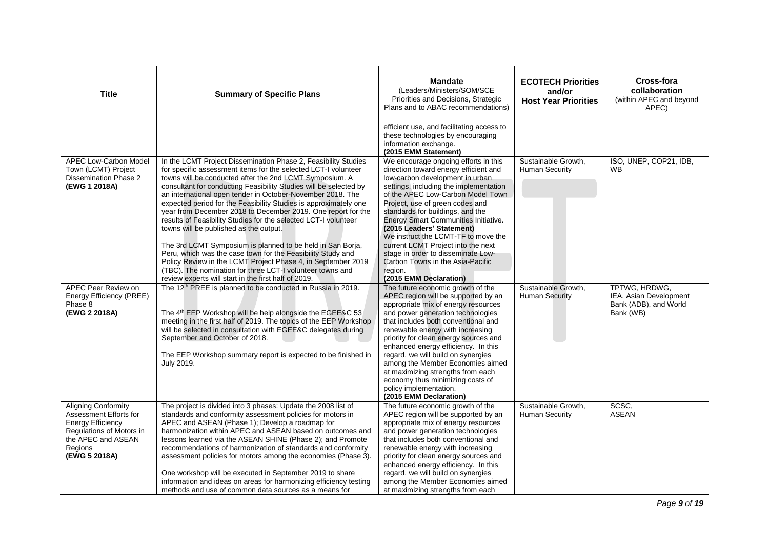| <b>Title</b>                                                                                                                                                   | <b>Summary of Specific Plans</b>                                                                                                                                                                                                                                                                                                                                                                                                                                                                                                                                                                                                                                                                                                                                                                                                                                                                  | <b>Mandate</b><br>(Leaders/Ministers/SOM/SCE<br>Priorities and Decisions, Strategic<br>Plans and to ABAC recommendations)                                                                                                                                                                                                                                                                                                                                                                                                               | <b>ECOTECH Priorities</b><br>and/or<br><b>Host Year Priorities</b> | Cross-fora<br>collaboration<br>(within APEC and beyond<br>APEC)               |
|----------------------------------------------------------------------------------------------------------------------------------------------------------------|---------------------------------------------------------------------------------------------------------------------------------------------------------------------------------------------------------------------------------------------------------------------------------------------------------------------------------------------------------------------------------------------------------------------------------------------------------------------------------------------------------------------------------------------------------------------------------------------------------------------------------------------------------------------------------------------------------------------------------------------------------------------------------------------------------------------------------------------------------------------------------------------------|-----------------------------------------------------------------------------------------------------------------------------------------------------------------------------------------------------------------------------------------------------------------------------------------------------------------------------------------------------------------------------------------------------------------------------------------------------------------------------------------------------------------------------------------|--------------------------------------------------------------------|-------------------------------------------------------------------------------|
|                                                                                                                                                                |                                                                                                                                                                                                                                                                                                                                                                                                                                                                                                                                                                                                                                                                                                                                                                                                                                                                                                   | efficient use, and facilitating access to<br>these technologies by encouraging<br>information exchange.<br>(2015 EMM Statement)                                                                                                                                                                                                                                                                                                                                                                                                         |                                                                    |                                                                               |
| <b>APEC Low-Carbon Model</b><br>Town (LCMT) Project<br>Dissemination Phase 2<br>(EWG 1 2018A)                                                                  | In the LCMT Project Dissemination Phase 2, Feasibility Studies<br>for specific assessment items for the selected LCT-I volunteer<br>towns will be conducted after the 2nd LCMT Symposium. A<br>consultant for conducting Feasibility Studies will be selected by<br>an international open tender in October-November 2018. The<br>expected period for the Feasibility Studies is approximately one<br>year from December 2018 to December 2019. One report for the<br>results of Feasibility Studies for the selected LCT-I volunteer<br>towns will be published as the output.<br>The 3rd LCMT Symposium is planned to be held in San Borja,<br>Peru, which was the case town for the Feasibility Study and<br>Policy Review in the LCMT Project Phase 4, in September 2019<br>(TBC). The nomination for three LCT-I volunteer towns and<br>review experts will start in the first half of 2019. | We encourage ongoing efforts in this<br>direction toward energy efficient and<br>low-carbon development in urban<br>settings, including the implementation<br>of the APEC Low-Carbon Model Town<br>Project, use of green codes and<br>standards for buildings, and the<br>Energy Smart Communities Initiative.<br>(2015 Leaders' Statement)<br>We instruct the LCMT-TF to move the<br>current LCMT Project into the next<br>stage in order to disseminate Low-<br>Carbon Towns in the Asia-Pacific<br>region.<br>(2015 EMM Declaration) | Sustainable Growth,<br>Human Security                              | ISO, UNEP, COP21, IDB,<br><b>WB</b>                                           |
| APEC Peer Review on<br>Energy Efficiency (PREE)<br>Phase 8<br>(EWG 2 2018A)                                                                                    | The 12 <sup>th</sup> PREE is planned to be conducted in Russia in 2019.<br>The 4 <sup>th</sup> EEP Workshop will be help alongside the EGEE&C 53<br>meeting in the first half of 2019. The topics of the EEP Workshop<br>will be selected in consultation with EGEE&C delegates during<br>September and October of 2018.<br>The EEP Workshop summary report is expected to be finished in<br>July 2019.                                                                                                                                                                                                                                                                                                                                                                                                                                                                                           | The future economic growth of the<br>APEC region will be supported by an<br>appropriate mix of energy resources<br>and power generation technologies<br>that includes both conventional and<br>renewable energy with increasing<br>priority for clean energy sources and<br>enhanced energy efficiency. In this<br>regard, we will build on synergies<br>among the Member Economies aimed<br>at maximizing strengths from each<br>economy thus minimizing costs of<br>policy implementation.<br>(2015 EMM Declaration)                  | Sustainable Growth.<br><b>Human Security</b>                       | TPTWG. HRDWG.<br>IEA, Asian Development<br>Bank (ADB), and World<br>Bank (WB) |
| <b>Aligning Conformity</b><br>Assessment Efforts for<br><b>Energy Efficiency</b><br>Regulations of Motors in<br>the APEC and ASEAN<br>Regions<br>(EWG 5 2018A) | The project is divided into 3 phases: Update the 2008 list of<br>standards and conformity assessment policies for motors in<br>APEC and ASEAN (Phase 1); Develop a roadmap for<br>harmonization within APEC and ASEAN based on outcomes and<br>lessons learned via the ASEAN SHINE (Phase 2); and Promote<br>recommendations of harmonization of standards and conformity<br>assessment policies for motors among the economies (Phase 3).<br>One workshop will be executed in September 2019 to share<br>information and ideas on areas for harmonizing efficiency testing<br>methods and use of common data sources as a means for                                                                                                                                                                                                                                                              | The future economic growth of the<br>APEC region will be supported by an<br>appropriate mix of energy resources<br>and power generation technologies<br>that includes both conventional and<br>renewable energy with increasing<br>priority for clean energy sources and<br>enhanced energy efficiency. In this<br>regard, we will build on synergies<br>among the Member Economies aimed<br>at maximizing strengths from each                                                                                                          | Sustainable Growth,<br>Human Security                              | SCSC,<br><b>ASEAN</b>                                                         |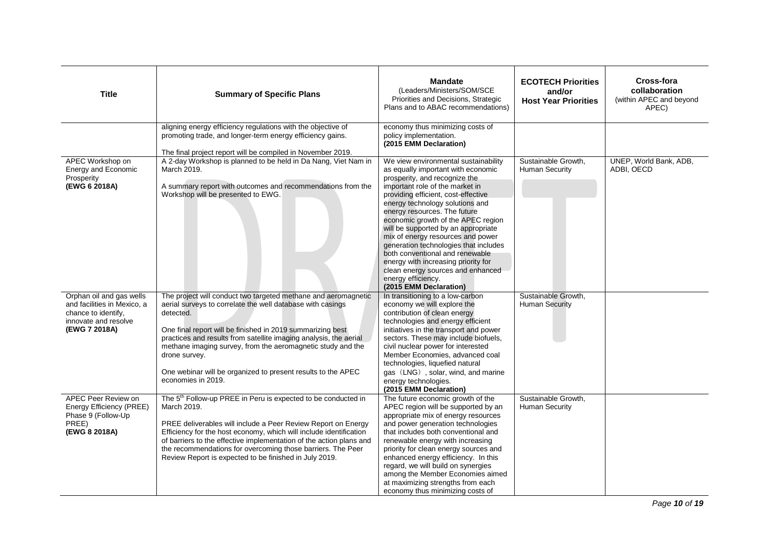| <b>Title</b>                                                                                                            | <b>Summary of Specific Plans</b>                                                                                                                                                                                                                                                                                                                                                                                                                   | <b>Mandate</b><br>(Leaders/Ministers/SOM/SCE<br>Priorities and Decisions, Strategic<br>Plans and to ABAC recommendations)                                                                                                                                                                                                                                                                                                                                                                                                                                                          | <b>ECOTECH Priorities</b><br>and/or<br><b>Host Year Priorities</b> | Cross-fora<br>collaboration<br>(within APEC and beyond<br>APEC) |
|-------------------------------------------------------------------------------------------------------------------------|----------------------------------------------------------------------------------------------------------------------------------------------------------------------------------------------------------------------------------------------------------------------------------------------------------------------------------------------------------------------------------------------------------------------------------------------------|------------------------------------------------------------------------------------------------------------------------------------------------------------------------------------------------------------------------------------------------------------------------------------------------------------------------------------------------------------------------------------------------------------------------------------------------------------------------------------------------------------------------------------------------------------------------------------|--------------------------------------------------------------------|-----------------------------------------------------------------|
|                                                                                                                         | aligning energy efficiency regulations with the objective of<br>promoting trade, and longer-term energy efficiency gains.<br>The final project report will be compiled in November 2019.                                                                                                                                                                                                                                                           | economy thus minimizing costs of<br>policy implementation.<br>(2015 EMM Declaration)                                                                                                                                                                                                                                                                                                                                                                                                                                                                                               |                                                                    |                                                                 |
| APEC Workshop on<br>Energy and Economic<br>Prosperity<br>(EWG 6 2018A)                                                  | A 2-day Workshop is planned to be held in Da Nang, Viet Nam in<br>March 2019.<br>A summary report with outcomes and recommendations from the<br>Workshop will be presented to EWG.                                                                                                                                                                                                                                                                 | We view environmental sustainability<br>as equally important with economic<br>prosperity, and recognize the<br>important role of the market in<br>providing efficient, cost-effective<br>energy technology solutions and<br>energy resources. The future<br>economic growth of the APEC region<br>will be supported by an appropriate<br>mix of energy resources and power<br>generation technologies that includes<br>both conventional and renewable<br>energy with increasing priority for<br>clean energy sources and enhanced<br>energy efficiency.<br>(2015 EMM Declaration) | Sustainable Growth,<br>Human Security                              | UNEP, World Bank, ADB,<br>ADBI, OECD                            |
| Orphan oil and gas wells<br>and facilities in Mexico, a<br>chance to identify,<br>innovate and resolve<br>(EWG 7 2018A) | The project will conduct two targeted methane and aeromagnetic<br>aerial surveys to correlate the well database with casings<br>detected.<br>One final report will be finished in 2019 summarizing best<br>practices and results from satellite imaging analysis, the aerial<br>methane imaging survey, from the aeromagnetic study and the<br>drone survey.<br>One webinar will be organized to present results to the APEC<br>economies in 2019. | In transitioning to a low-carbon<br>economy we will explore the<br>contribution of clean energy<br>technologies and energy efficient<br>initiatives in the transport and power<br>sectors. These may include biofuels,<br>civil nuclear power for interested<br>Member Economies, advanced coal<br>technologies, liquefied natural<br>gas (LNG), solar, wind, and marine<br>energy technologies.<br>(2015 EMM Declaration)                                                                                                                                                         | Sustainable Growth,<br><b>Human Security</b>                       |                                                                 |
| APEC Peer Review on<br>Energy Efficiency (PREE)<br>Phase 9 (Follow-Up<br>PREE)<br>(EWG 8 2018A)                         | The 5 <sup>th</sup> Follow-up PREE in Peru is expected to be conducted in<br>March 2019.<br>PREE deliverables will include a Peer Review Report on Energy<br>Efficiency for the host economy, which will include identification<br>of barriers to the effective implementation of the action plans and<br>the recommendations for overcoming those barriers. The Peer<br>Review Report is expected to be finished in July 2019.                    | The future economic growth of the<br>APEC region will be supported by an<br>appropriate mix of energy resources<br>and power generation technologies<br>that includes both conventional and<br>renewable energy with increasing<br>priority for clean energy sources and<br>enhanced energy efficiency. In this<br>regard, we will build on synergies<br>among the Member Economies aimed<br>at maximizing strengths from each<br>economy thus minimizing costs of                                                                                                                 | Sustainable Growth,<br><b>Human Security</b>                       |                                                                 |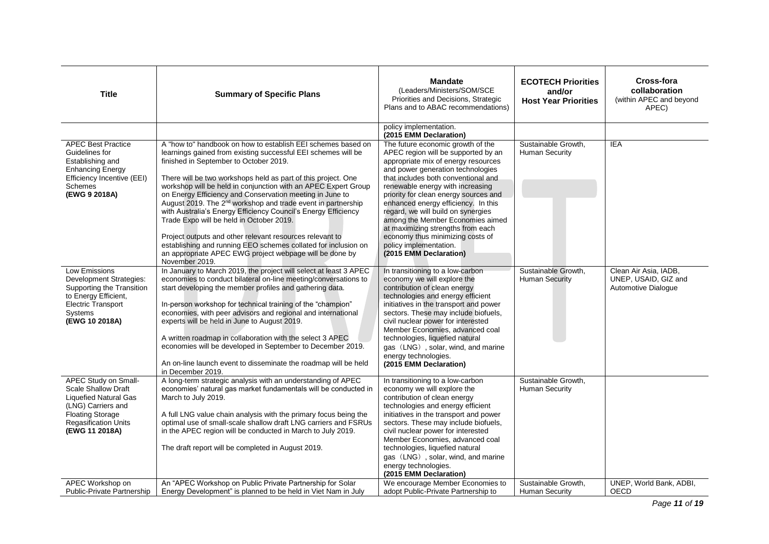| <b>Title</b>                                                                                                                                                                  | <b>Summary of Specific Plans</b>                                                                                                                                                                                                                                                                                                                                                                                                                                                                                                                                                                                                                                                                                                                                            | <b>Mandate</b><br>(Leaders/Ministers/SOM/SCE<br>Priorities and Decisions, Strategic<br>Plans and to ABAC recommendations)                                                                                                                                                                                                                                                                                                                                                                                              | <b>ECOTECH Priorities</b><br>and/or<br><b>Host Year Priorities</b> | Cross-fora<br>collaboration<br>(within APEC and beyond<br>APEC)      |
|-------------------------------------------------------------------------------------------------------------------------------------------------------------------------------|-----------------------------------------------------------------------------------------------------------------------------------------------------------------------------------------------------------------------------------------------------------------------------------------------------------------------------------------------------------------------------------------------------------------------------------------------------------------------------------------------------------------------------------------------------------------------------------------------------------------------------------------------------------------------------------------------------------------------------------------------------------------------------|------------------------------------------------------------------------------------------------------------------------------------------------------------------------------------------------------------------------------------------------------------------------------------------------------------------------------------------------------------------------------------------------------------------------------------------------------------------------------------------------------------------------|--------------------------------------------------------------------|----------------------------------------------------------------------|
|                                                                                                                                                                               |                                                                                                                                                                                                                                                                                                                                                                                                                                                                                                                                                                                                                                                                                                                                                                             | policy implementation.<br>(2015 EMM Declaration)                                                                                                                                                                                                                                                                                                                                                                                                                                                                       |                                                                    |                                                                      |
| <b>APEC Best Practice</b><br>Guidelines for<br>Establishing and<br><b>Enhancing Energy</b><br>Efficiency Incentive (EEI)<br>Schemes<br>(EWG 9 2018A)                          | A "how to" handbook on how to establish EEI schemes based on<br>learnings gained from existing successful EEI schemes will be<br>finished in September to October 2019.<br>There will be two workshops held as part of this project. One<br>workshop will be held in conjunction with an APEC Expert Group<br>on Energy Efficiency and Conservation meeting in June to<br>August 2019. The 2 <sup>nd</sup> workshop and trade event in partnership<br>with Australia's Energy Efficiency Council's Energy Efficiency<br>Trade Expo will be held in October 2019.<br>Project outputs and other relevant resources relevant to<br>establishing and running EEO schemes collated for inclusion on<br>an appropriate APEC EWG project webpage will be done by<br>November 2019. | The future economic growth of the<br>APEC region will be supported by an<br>appropriate mix of energy resources<br>and power generation technologies<br>that includes both conventional and<br>renewable energy with increasing<br>priority for clean energy sources and<br>enhanced energy efficiency. In this<br>regard, we will build on synergies<br>among the Member Economies aimed<br>at maximizing strengths from each<br>economy thus minimizing costs of<br>policy implementation.<br>(2015 EMM Declaration) | Sustainable Growth,<br>Human Security                              | <b>IEA</b>                                                           |
| <b>Low Emissions</b><br>Development Strategies:<br>Supporting the Transition<br>to Energy Efficient,<br><b>Electric Transport</b><br>Systems<br>(EWG 10 2018A)                | In January to March 2019, the project will select at least 3 APEC<br>economies to conduct bilateral on-line meeting/conversations to<br>start developing the member profiles and gathering data.<br>In-person workshop for technical training of the "champion"<br>economies, with peer advisors and regional and international<br>experts will be held in June to August 2019.<br>A written roadmap in collaboration with the select 3 APEC<br>economies will be developed in September to December 2019.<br>An on-line launch event to disseminate the roadmap will be held<br>in December 2019.                                                                                                                                                                          | In transitioning to a low-carbon<br>economy we will explore the<br>contribution of clean energy<br>technologies and energy efficient<br>initiatives in the transport and power<br>sectors. These may include biofuels,<br>civil nuclear power for interested<br>Member Economies, advanced coal<br>technologies, liquefied natural<br>gas (LNG), solar, wind, and marine<br>energy technologies.<br>(2015 EMM Declaration)                                                                                             | Sustainable Growth,<br><b>Human Security</b>                       | Clean Air Asia, IADB,<br>UNEP, USAID, GIZ and<br>Automotive Dialogue |
| APEC Study on Small-<br><b>Scale Shallow Draft</b><br>Liquefied Natural Gas<br>(LNG) Carriers and<br><b>Floating Storage</b><br><b>Regasification Units</b><br>(EWG 11 2018A) | A long-term strategic analysis with an understanding of APEC<br>economies' natural gas market fundamentals will be conducted in<br>March to July 2019.<br>A full LNG value chain analysis with the primary focus being the<br>optimal use of small-scale shallow draft LNG carriers and FSRUs<br>in the APEC region will be conducted in March to July 2019.<br>The draft report will be completed in August 2019.                                                                                                                                                                                                                                                                                                                                                          | In transitioning to a low-carbon<br>economy we will explore the<br>contribution of clean energy<br>technologies and energy efficient<br>initiatives in the transport and power<br>sectors. These may include biofuels,<br>civil nuclear power for interested<br>Member Economies, advanced coal<br>technologies, liquefied natural<br>gas (LNG), solar, wind, and marine<br>energy technologies.<br>(2015 EMM Declaration)                                                                                             | Sustainable Growth,<br>Human Security                              |                                                                      |
| APEC Workshop on<br>Public-Private Partnership                                                                                                                                | An "APEC Workshop on Public Private Partnership for Solar<br>Energy Development" is planned to be held in Viet Nam in July                                                                                                                                                                                                                                                                                                                                                                                                                                                                                                                                                                                                                                                  | We encourage Member Economies to<br>adopt Public-Private Partnership to                                                                                                                                                                                                                                                                                                                                                                                                                                                | Sustainable Growth,<br><b>Human Security</b>                       | UNEP, World Bank, ADBI,<br><b>OECD</b>                               |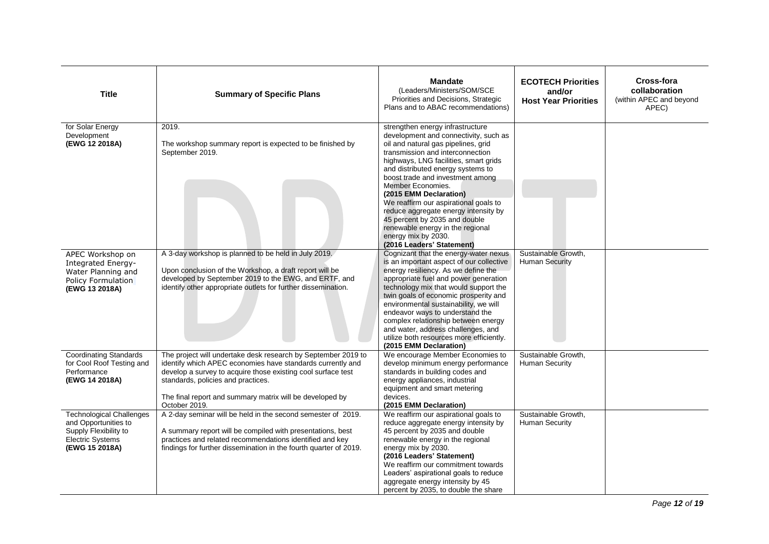| <b>Title</b>                                                                                                                  | <b>Summary of Specific Plans</b>                                                                                                                                                                                                                                                                               | <b>Mandate</b><br>(Leaders/Ministers/SOM/SCE<br>Priorities and Decisions, Strategic<br>Plans and to ABAC recommendations)                                                                                                                                                                                                                                                                                                                                                                                                       | <b>ECOTECH Priorities</b><br>and/or<br><b>Host Year Priorities</b> | Cross-fora<br>collaboration<br>(within APEC and beyond<br>APEC) |
|-------------------------------------------------------------------------------------------------------------------------------|----------------------------------------------------------------------------------------------------------------------------------------------------------------------------------------------------------------------------------------------------------------------------------------------------------------|---------------------------------------------------------------------------------------------------------------------------------------------------------------------------------------------------------------------------------------------------------------------------------------------------------------------------------------------------------------------------------------------------------------------------------------------------------------------------------------------------------------------------------|--------------------------------------------------------------------|-----------------------------------------------------------------|
| for Solar Energy<br>Development<br>(EWG 12 2018A)                                                                             | 2019.<br>The workshop summary report is expected to be finished by<br>September 2019.                                                                                                                                                                                                                          | strengthen energy infrastructure<br>development and connectivity, such as<br>oil and natural gas pipelines, grid<br>transmission and interconnection<br>highways, LNG facilities, smart grids<br>and distributed energy systems to<br>boost trade and investment among<br>Member Economies.<br>(2015 EMM Declaration)<br>We reaffirm our aspirational goals to<br>reduce aggregate energy intensity by<br>45 percent by 2035 and double<br>renewable energy in the regional<br>energy mix by 2030.<br>(2016 Leaders' Statement) |                                                                    |                                                                 |
| APEC Workshop on<br><b>Integrated Energy-</b><br>Water Planning and<br>Policy Formulation<br>(EWG 13 2018A)                   | A 3-day workshop is planned to be held in July 2019.<br>Upon conclusion of the Workshop, a draft report will be<br>developed by September 2019 to the EWG, and ERTF, and<br>identify other appropriate outlets for further dissemination.                                                                      | Cognizant that the energy-water nexus<br>is an important aspect of our collective<br>energy resiliency. As we define the<br>appropriate fuel and power generation<br>technology mix that would support the<br>twin goals of economic prosperity and<br>environmental sustainability, we will<br>endeavor ways to understand the<br>complex relationship between energy<br>and water, address challenges, and<br>utilize both resources more efficiently.<br>(2015 EMM Declaration)                                              | Sustainable Growth,<br><b>Human Security</b>                       |                                                                 |
| <b>Coordinating Standards</b><br>for Cool Roof Testing and<br>Performance<br>(EWG 14 2018A)                                   | The project will undertake desk research by September 2019 to<br>identify which APEC economies have standards currently and<br>develop a survey to acquire those existing cool surface test<br>standards, policies and practices.<br>The final report and summary matrix will be developed by<br>October 2019. | We encourage Member Economies to<br>develop minimum energy performance<br>standards in building codes and<br>energy appliances, industrial<br>equipment and smart metering<br>devices.<br>(2015 EMM Declaration)                                                                                                                                                                                                                                                                                                                | Sustainable Growth,<br><b>Human Security</b>                       |                                                                 |
| <b>Technological Challenges</b><br>and Opportunities to<br>Supply Flexibility to<br><b>Electric Systems</b><br>(EWG 15 2018A) | A 2-day seminar will be held in the second semester of 2019.<br>A summary report will be compiled with presentations, best<br>practices and related recommendations identified and key<br>findings for further dissemination in the fourth quarter of 2019.                                                    | We reaffirm our aspirational goals to<br>reduce aggregate energy intensity by<br>45 percent by 2035 and double<br>renewable energy in the regional<br>energy mix by 2030.<br>(2016 Leaders' Statement)<br>We reaffirm our commitment towards<br>Leaders' aspirational goals to reduce<br>aggregate energy intensity by 45<br>percent by 2035, to double the share                                                                                                                                                               | Sustainable Growth,<br><b>Human Security</b>                       |                                                                 |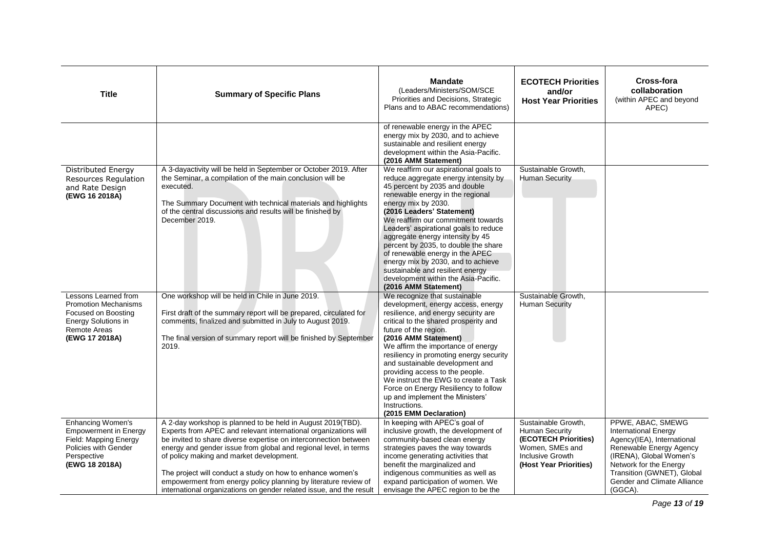| <b>Title</b>                                                                                                                                      | <b>Summary of Specific Plans</b>                                                                                                                                                                                                                                                                                                                                                                                                                                                                                           | <b>Mandate</b><br>(Leaders/Ministers/SOM/SCE<br>Priorities and Decisions, Strategic<br>Plans and to ABAC recommendations)                                                                                                                                                                                                                                                                                                                                                                                                                      | <b>ECOTECH Priorities</b><br>and/or<br><b>Host Year Priorities</b>                                                                           | <b>Cross-fora</b><br>collaboration<br>(within APEC and beyond<br>APEC)                                                                                                                                                                 |
|---------------------------------------------------------------------------------------------------------------------------------------------------|----------------------------------------------------------------------------------------------------------------------------------------------------------------------------------------------------------------------------------------------------------------------------------------------------------------------------------------------------------------------------------------------------------------------------------------------------------------------------------------------------------------------------|------------------------------------------------------------------------------------------------------------------------------------------------------------------------------------------------------------------------------------------------------------------------------------------------------------------------------------------------------------------------------------------------------------------------------------------------------------------------------------------------------------------------------------------------|----------------------------------------------------------------------------------------------------------------------------------------------|----------------------------------------------------------------------------------------------------------------------------------------------------------------------------------------------------------------------------------------|
|                                                                                                                                                   |                                                                                                                                                                                                                                                                                                                                                                                                                                                                                                                            | of renewable energy in the APEC<br>energy mix by 2030, and to achieve<br>sustainable and resilient energy<br>development within the Asia-Pacific.<br>(2016 AMM Statement)                                                                                                                                                                                                                                                                                                                                                                      |                                                                                                                                              |                                                                                                                                                                                                                                        |
| <b>Distributed Energy</b><br>Resources Regulation<br>and Rate Design<br>(EWG 16 2018A)                                                            | A 3-dayactivity will be held in September or October 2019. After<br>the Seminar, a compilation of the main conclusion will be<br>executed.<br>The Summary Document with technical materials and highlights<br>of the central discussions and results will be finished by<br>December 2019.                                                                                                                                                                                                                                 | We reaffirm our aspirational goals to<br>reduce aggregate energy intensity by<br>45 percent by 2035 and double<br>renewable energy in the regional<br>energy mix by 2030.<br>(2016 Leaders' Statement)<br>We reaffirm our commitment towards<br>Leaders' aspirational goals to reduce<br>aggregate energy intensity by 45<br>percent by 2035, to double the share<br>of renewable energy in the APEC<br>energy mix by 2030, and to achieve<br>sustainable and resilient energy<br>development within the Asia-Pacific.<br>(2016 AMM Statement) | Sustainable Growth,<br><b>Human Security</b>                                                                                                 |                                                                                                                                                                                                                                        |
| Lessons Learned from<br><b>Promotion Mechanisms</b><br>Focused on Boosting<br><b>Energy Solutions in</b><br><b>Remote Areas</b><br>(EWG 17 2018A) | One workshop will be held in Chile in June 2019.<br>First draft of the summary report will be prepared, circulated for<br>comments, finalized and submitted in July to August 2019.<br>The final version of summary report will be finished by September<br>2019.                                                                                                                                                                                                                                                          | We recognize that sustainable<br>development, energy access, energy<br>resilience, and energy security are<br>critical to the shared prosperity and<br>future of the region.<br>(2016 AMM Statement)<br>We affirm the importance of energy<br>resiliency in promoting energy security<br>and sustainable development and<br>providing access to the people.<br>We instruct the EWG to create a Task<br>Force on Energy Resiliency to follow<br>up and implement the Ministers'<br>Instructions.<br>(2015 EMM Declaration)                      | Sustainable Growth,<br><b>Human Security</b>                                                                                                 |                                                                                                                                                                                                                                        |
| <b>Enhancing Women's</b><br><b>Empowerment in Energy</b><br>Field: Mapping Energy<br>Policies with Gender<br>Perspective<br>(EWG 18 2018A)        | A 2-day workshop is planned to be held in August 2019(TBD).<br>Experts from APEC and relevant international organizations will<br>be invited to share diverse expertise on interconnection between<br>energy and gender issue from global and regional level, in terms<br>of policy making and market development.<br>The project will conduct a study on how to enhance women's<br>empowerment from energy policy planning by literature review of<br>international organizations on gender related issue, and the result | In keeping with APEC's goal of<br>inclusive growth, the development of<br>community-based clean energy<br>strategies paves the way towards<br>income generating activities that<br>benefit the marginalized and<br>indigenous communities as well as<br>expand participation of women. We<br>envisage the APEC region to be the                                                                                                                                                                                                                | Sustainable Growth,<br><b>Human Security</b><br>(ECOTECH Priorities)<br>Women, SMEs and<br><b>Inclusive Growth</b><br>(Host Year Priorities) | PPWE, ABAC, SMEWG<br><b>International Energy</b><br>Agency(IEA), International<br>Renewable Energy Agency<br>(IRENA), Global Women's<br>Network for the Energy<br>Transition (GWNET), Global<br>Gender and Climate Alliance<br>(GGCA). |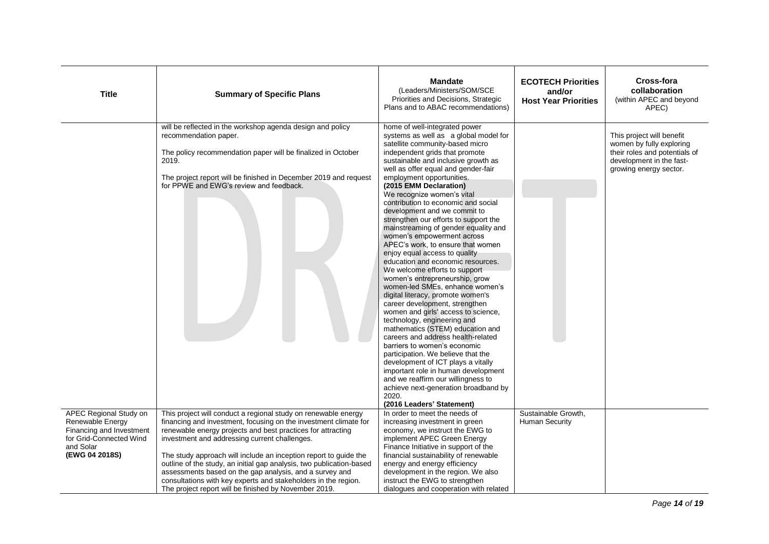| <b>Title</b>                                                                                                                     | <b>Summary of Specific Plans</b>                                                                                                                                                                                                                                                                                                                                                                                                                                                                                                                                                     | <b>Mandate</b><br>(Leaders/Ministers/SOM/SCE<br>Priorities and Decisions, Strategic<br>Plans and to ABAC recommendations)                                                                                                                                                                                                                                                                                                                                                                                                                                                                                                                                                                                                                                                                                                                                                                                                                                                                                                                                                                                                                                                                                           | <b>ECOTECH Priorities</b><br>and/or<br><b>Host Year Priorities</b> | Cross-fora<br>collaboration<br>(within APEC and beyond<br>APEC)                                                                              |
|----------------------------------------------------------------------------------------------------------------------------------|--------------------------------------------------------------------------------------------------------------------------------------------------------------------------------------------------------------------------------------------------------------------------------------------------------------------------------------------------------------------------------------------------------------------------------------------------------------------------------------------------------------------------------------------------------------------------------------|---------------------------------------------------------------------------------------------------------------------------------------------------------------------------------------------------------------------------------------------------------------------------------------------------------------------------------------------------------------------------------------------------------------------------------------------------------------------------------------------------------------------------------------------------------------------------------------------------------------------------------------------------------------------------------------------------------------------------------------------------------------------------------------------------------------------------------------------------------------------------------------------------------------------------------------------------------------------------------------------------------------------------------------------------------------------------------------------------------------------------------------------------------------------------------------------------------------------|--------------------------------------------------------------------|----------------------------------------------------------------------------------------------------------------------------------------------|
|                                                                                                                                  | will be reflected in the workshop agenda design and policy<br>recommendation paper.<br>The policy recommendation paper will be finalized in October<br>2019.<br>The project report will be finished in December 2019 and request<br>for PPWE and EWG's review and feedback.                                                                                                                                                                                                                                                                                                          | home of well-integrated power<br>systems as well as a global model for<br>satellite community-based micro<br>independent grids that promote<br>sustainable and inclusive growth as<br>well as offer equal and gender-fair<br>employment opportunities.<br>(2015 EMM Declaration)<br>We recognize women's vital<br>contribution to economic and social<br>development and we commit to<br>strengthen our efforts to support the<br>mainstreaming of gender equality and<br>women's empowerment across<br>APEC's work, to ensure that women<br>enjoy equal access to quality<br>education and economic resources.<br>We welcome efforts to support<br>women's entrepreneurship, grow<br>women-led SMEs, enhance women's<br>digital literacy, promote women's<br>career development, strengthen<br>women and girls' access to science,<br>technology, engineering and<br>mathematics (STEM) education and<br>careers and address health-related<br>barriers to women's economic<br>participation. We believe that the<br>development of ICT plays a vitally<br>important role in human development<br>and we reaffirm our willingness to<br>achieve next-generation broadband by<br>2020.<br>(2016 Leaders' Statement) |                                                                    | This project will benefit<br>women by fully exploring<br>their roles and potentials of<br>development in the fast-<br>growing energy sector. |
| APEC Regional Study on<br>Renewable Energy<br>Financing and Investment<br>for Grid-Connected Wind<br>and Solar<br>(EWG 04 2018S) | This project will conduct a regional study on renewable energy<br>financing and investment, focusing on the investment climate for<br>renewable energy projects and best practices for attracting<br>investment and addressing current challenges.<br>The study approach will include an inception report to guide the<br>outline of the study, an initial gap analysis, two publication-based<br>assessments based on the gap analysis, and a survey and<br>consultations with key experts and stakeholders in the region.<br>The project report will be finished by November 2019. | In order to meet the needs of<br>increasing investment in green<br>economy, we instruct the EWG to<br>implement APEC Green Energy<br>Finance Initiative in support of the<br>financial sustainability of renewable<br>energy and energy efficiency<br>development in the region. We also<br>instruct the EWG to strengthen<br>dialogues and cooperation with related                                                                                                                                                                                                                                                                                                                                                                                                                                                                                                                                                                                                                                                                                                                                                                                                                                                | Sustainable Growth,<br><b>Human Security</b>                       |                                                                                                                                              |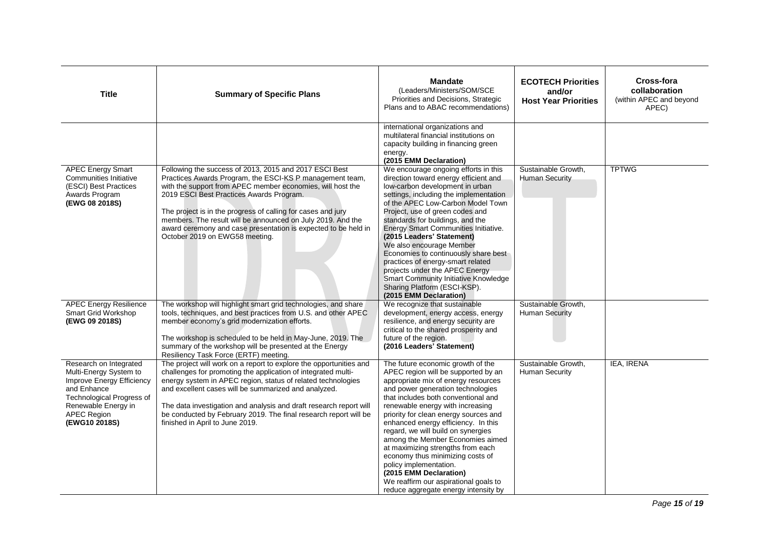| <b>Title</b>                                                                                                                                                                            | <b>Summary of Specific Plans</b>                                                                                                                                                                                                                                                                                                                                                                                                                                | <b>Mandate</b><br>(Leaders/Ministers/SOM/SCE<br>Priorities and Decisions, Strategic<br>Plans and to ABAC recommendations)                                                                                                                                                                                                                                                                                                                                                                                                                                                                               | <b>ECOTECH Priorities</b><br>and/or<br><b>Host Year Priorities</b> | Cross-fora<br>collaboration<br>(within APEC and beyond<br>APEC) |
|-----------------------------------------------------------------------------------------------------------------------------------------------------------------------------------------|-----------------------------------------------------------------------------------------------------------------------------------------------------------------------------------------------------------------------------------------------------------------------------------------------------------------------------------------------------------------------------------------------------------------------------------------------------------------|---------------------------------------------------------------------------------------------------------------------------------------------------------------------------------------------------------------------------------------------------------------------------------------------------------------------------------------------------------------------------------------------------------------------------------------------------------------------------------------------------------------------------------------------------------------------------------------------------------|--------------------------------------------------------------------|-----------------------------------------------------------------|
|                                                                                                                                                                                         |                                                                                                                                                                                                                                                                                                                                                                                                                                                                 | international organizations and<br>multilateral financial institutions on<br>capacity building in financing green<br>energy.<br>(2015 EMM Declaration)                                                                                                                                                                                                                                                                                                                                                                                                                                                  |                                                                    |                                                                 |
| <b>APEC Energy Smart</b><br>Communities Initiative<br>(ESCI) Best Practices<br>Awards Program<br>(EWG 08 2018S)                                                                         | Following the success of 2013, 2015 and 2017 ESCI Best<br>Practices Awards Program, the ESCI-KS P management team,<br>with the support from APEC member economies, will host the<br>2019 ESCI Best Practices Awards Program.<br>The project is in the progress of calling for cases and jury<br>members. The result will be announced on July 2019. And the<br>award ceremony and case presentation is expected to be held in<br>October 2019 on EWG58 meeting. | We encourage ongoing efforts in this<br>direction toward energy efficient and<br>low-carbon development in urban<br>settings, including the implementation<br>of the APEC Low-Carbon Model Town<br>Project, use of green codes and<br>standards for buildings, and the<br>Energy Smart Communities Initiative.<br>(2015 Leaders' Statement)<br>We also encourage Member<br>Economies to continuously share best<br>practices of energy-smart related<br>projects under the APEC Energy<br>Smart Community Initiative Knowledge<br>Sharing Platform (ESCI-KSP).<br>(2015 EMM Declaration)                | Sustainable Growth,<br>Human Security                              | <b>TPTWG</b>                                                    |
| <b>APEC Energy Resilience</b><br>Smart Grid Workshop<br>(EWG 09 2018S)                                                                                                                  | The workshop will highlight smart grid technologies, and share<br>tools, techniques, and best practices from U.S. and other APEC<br>member economy's grid modernization efforts.<br>The workshop is scheduled to be held in May-June, 2019. The<br>summary of the workshop will be presented at the Energy<br>Resiliency Task Force (ERTF) meeting.                                                                                                             | We recognize that sustainable<br>development, energy access, energy<br>resilience, and energy security are<br>critical to the shared prosperity and<br>future of the region.<br>(2016 Leaders' Statement)                                                                                                                                                                                                                                                                                                                                                                                               | Sustainable Growth,<br><b>Human Security</b>                       |                                                                 |
| Research on Integrated<br>Multi-Energy System to<br>Improve Energy Efficiency<br>and Enhance<br>Technological Progress of<br>Renewable Energy in<br><b>APEC Region</b><br>(EWG10 2018S) | The project will work on a report to explore the opportunities and<br>challenges for promoting the application of integrated multi-<br>energy system in APEC region, status of related technologies<br>and excellent cases will be summarized and analyzed.<br>The data investigation and analysis and draft research report will<br>be conducted by February 2019. The final research report will be<br>finished in April to June 2019.                        | The future economic growth of the<br>APEC region will be supported by an<br>appropriate mix of energy resources<br>and power generation technologies<br>that includes both conventional and<br>renewable energy with increasing<br>priority for clean energy sources and<br>enhanced energy efficiency. In this<br>regard, we will build on synergies<br>among the Member Economies aimed<br>at maximizing strengths from each<br>economy thus minimizing costs of<br>policy implementation.<br>(2015 EMM Declaration)<br>We reaffirm our aspirational goals to<br>reduce aggregate energy intensity by | Sustainable Growth,<br>Human Security                              | IEA, IRENA                                                      |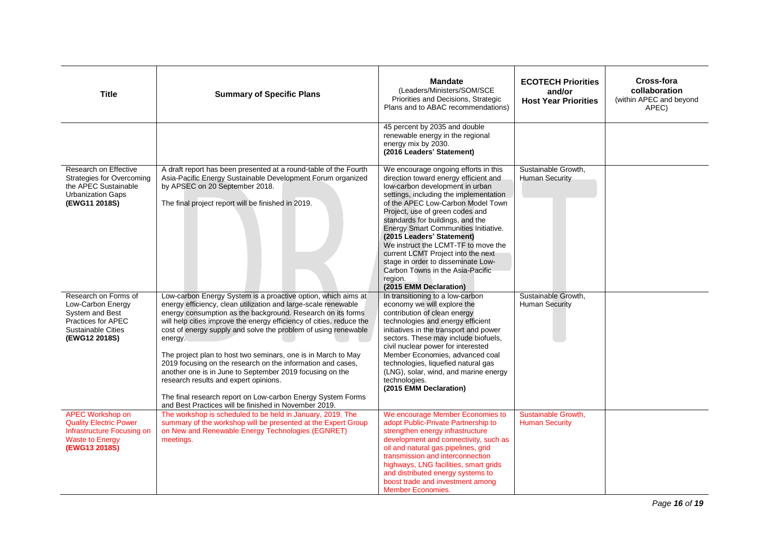| <b>Title</b>                                                                                                                      | <b>Summary of Specific Plans</b>                                                                                                                                                                                                                                                                                                                                                                                                                                                                                                                                                                                                                                                                                 | <b>Mandate</b><br>(Leaders/Ministers/SOM/SCE<br>Priorities and Decisions, Strategic<br>Plans and to ABAC recommendations)                                                                                                                                                                                                                                                                                                                                                                                                               | <b>ECOTECH Priorities</b><br>and/or<br><b>Host Year Priorities</b> | Cross-fora<br>collaboration<br>(within APEC and beyond<br>APEC) |
|-----------------------------------------------------------------------------------------------------------------------------------|------------------------------------------------------------------------------------------------------------------------------------------------------------------------------------------------------------------------------------------------------------------------------------------------------------------------------------------------------------------------------------------------------------------------------------------------------------------------------------------------------------------------------------------------------------------------------------------------------------------------------------------------------------------------------------------------------------------|-----------------------------------------------------------------------------------------------------------------------------------------------------------------------------------------------------------------------------------------------------------------------------------------------------------------------------------------------------------------------------------------------------------------------------------------------------------------------------------------------------------------------------------------|--------------------------------------------------------------------|-----------------------------------------------------------------|
|                                                                                                                                   |                                                                                                                                                                                                                                                                                                                                                                                                                                                                                                                                                                                                                                                                                                                  | 45 percent by 2035 and double<br>renewable energy in the regional<br>energy mix by 2030.<br>(2016 Leaders' Statement)                                                                                                                                                                                                                                                                                                                                                                                                                   |                                                                    |                                                                 |
| Research on Effective<br><b>Strategies for Overcoming</b><br>the APEC Sustainable<br><b>Urbanization Gaps</b><br>(EWG11 2018S)    | A draft report has been presented at a round-table of the Fourth<br>Asia-Pacific Energy Sustainable Development Forum organized<br>by APSEC on 20 September 2018.<br>The final project report will be finished in 2019.                                                                                                                                                                                                                                                                                                                                                                                                                                                                                          | We encourage ongoing efforts in this<br>direction toward energy efficient and<br>low-carbon development in urban<br>settings, including the implementation<br>of the APEC Low-Carbon Model Town<br>Project, use of green codes and<br>standards for buildings, and the<br>Energy Smart Communities Initiative.<br>(2015 Leaders' Statement)<br>We instruct the LCMT-TF to move the<br>current LCMT Project into the next<br>stage in order to disseminate Low-<br>Carbon Towns in the Asia-Pacific<br>region.<br>(2015 EMM Declaration) | Sustainable Growth.<br>Human Security                              |                                                                 |
| Research on Forms of<br>Low-Carbon Energy<br>System and Best<br>Practices for APEC<br><b>Sustainable Cities</b><br>(EWG12 2018S)  | Low-carbon Energy System is a proactive option, which aims at<br>energy efficiency, clean utilization and large-scale renewable<br>energy consumption as the background. Research on its forms<br>will help cities improve the energy efficiency of cities, reduce the<br>cost of energy supply and solve the problem of using renewable<br>energy.<br>The project plan to host two seminars, one is in March to May<br>2019 focusing on the research on the information and cases,<br>another one is in June to September 2019 focusing on the<br>research results and expert opinions.<br>The final research report on Low-carbon Energy System Forms<br>and Best Practices will be finished in November 2019. | In transitioning to a low-carbon<br>economy we will explore the<br>contribution of clean energy<br>technologies and energy efficient<br>initiatives in the transport and power<br>sectors. These may include biofuels,<br>civil nuclear power for interested<br>Member Economies, advanced coal<br>technologies, liquefied natural gas<br>(LNG), solar, wind, and marine energy<br>technologies.<br>(2015 EMM Declaration)                                                                                                              | Sustainable Growth,<br><b>Human Security</b>                       |                                                                 |
| <b>APEC Workshop on</b><br><b>Quality Electric Power</b><br>Infrastructure Focusing on<br><b>Waste to Energy</b><br>(EWG13 2018S) | The workshop is scheduled to be held in January, 2019. The<br>summary of the workshop will be presented at the Expert Group<br>on New and Renewable Energy Technologies (EGNRET)<br>meetings.                                                                                                                                                                                                                                                                                                                                                                                                                                                                                                                    | We encourage Member Economies to<br>adopt Public-Private Partnership to<br>strengthen energy infrastructure<br>development and connectivity, such as<br>oil and natural gas pipelines, grid<br>transmission and interconnection<br>highways, LNG facilities, smart grids<br>and distributed energy systems to<br>boost trade and investment among<br><b>Member Economies.</b>                                                                                                                                                           | Sustainable Growth,<br><b>Human Security</b>                       |                                                                 |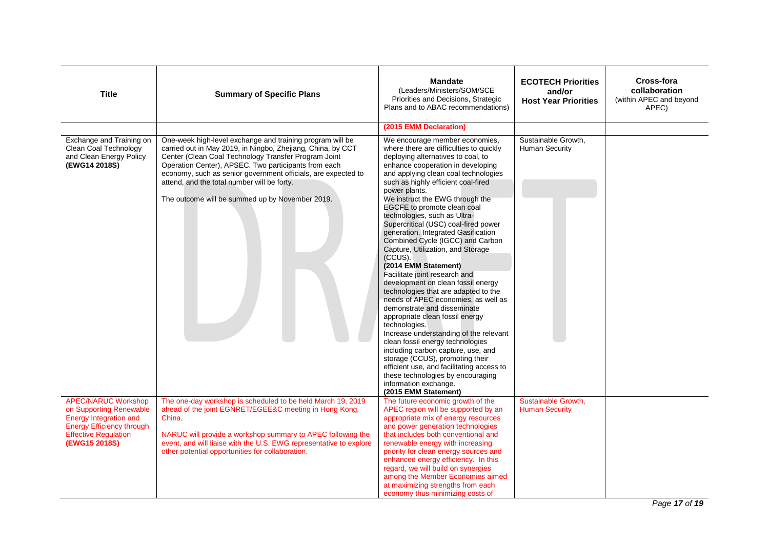| <b>Title</b>                                                                                                                                                        | <b>Summary of Specific Plans</b>                                                                                                                                                                                                                                                                                                                                                                            | <b>Mandate</b><br>(Leaders/Ministers/SOM/SCE<br>Priorities and Decisions, Strategic<br>Plans and to ABAC recommendations)                                                                                                                                                                                                                                                                                                                                                                                                                                                                                                                                                                                                                                                                                                                                                                                                                                                                                                                                    | <b>ECOTECH Priorities</b><br>and/or<br><b>Host Year Priorities</b> | Cross-fora<br>collaboration<br>(within APEC and beyond<br>APEC) |
|---------------------------------------------------------------------------------------------------------------------------------------------------------------------|-------------------------------------------------------------------------------------------------------------------------------------------------------------------------------------------------------------------------------------------------------------------------------------------------------------------------------------------------------------------------------------------------------------|--------------------------------------------------------------------------------------------------------------------------------------------------------------------------------------------------------------------------------------------------------------------------------------------------------------------------------------------------------------------------------------------------------------------------------------------------------------------------------------------------------------------------------------------------------------------------------------------------------------------------------------------------------------------------------------------------------------------------------------------------------------------------------------------------------------------------------------------------------------------------------------------------------------------------------------------------------------------------------------------------------------------------------------------------------------|--------------------------------------------------------------------|-----------------------------------------------------------------|
|                                                                                                                                                                     |                                                                                                                                                                                                                                                                                                                                                                                                             | (2015 EMM Declaration)                                                                                                                                                                                                                                                                                                                                                                                                                                                                                                                                                                                                                                                                                                                                                                                                                                                                                                                                                                                                                                       |                                                                    |                                                                 |
| Exchange and Training on<br>Clean Coal Technology<br>and Clean Energy Policy<br>(EWG14 2018S)                                                                       | One-week high-level exchange and training program will be<br>carried out in May 2019, in Ningbo, Zhejiang, China, by CCT<br>Center (Clean Coal Technology Transfer Program Joint<br>Operation Center), APSEC. Two participants from each<br>economy, such as senior government officials, are expected to<br>attend, and the total number will be forty.<br>The outcome will be summed up by November 2019. | We encourage member economies,<br>where there are difficulties to quickly<br>deploying alternatives to coal, to<br>enhance cooperation in developing<br>and applying clean coal technologies<br>such as highly efficient coal-fired<br>power plants.<br>We instruct the EWG through the<br>EGCFE to promote clean coal<br>technologies, such as Ultra-<br>Supercritical (USC) coal-fired power<br>generation, Integrated Gasification<br>Combined Cycle (IGCC) and Carbon<br>Capture, Utilization, and Storage<br>(CCUS).<br>(2014 EMM Statement)<br>Facilitate joint research and<br>development on clean fossil energy<br>technologies that are adapted to the<br>needs of APEC economies, as well as<br>demonstrate and disseminate<br>appropriate clean fossil energy<br>technologies.<br>Increase understanding of the relevant<br>clean fossil energy technologies<br>including carbon capture, use, and<br>storage (CCUS), promoting their<br>efficient use, and facilitating access to<br>these technologies by encouraging<br>information exchange. | Sustainable Growth,<br><b>Human Security</b>                       |                                                                 |
| <b>APEC/NARUC Workshop</b><br>on Supporting Renewable<br><b>Energy Integration and</b><br>Energy Efficiency through<br><b>Effective Regulation</b><br>(EWG15 2018S) | The one-day workshop is scheduled to be held March 19, 2019<br>ahead of the joint EGNRET/EGEE&C meeting in Hong Kong,<br>China.<br>NARUC will provide a workshop summary to APEC following the<br>event, and will liaise with the U.S. EWG representative to explore<br>other potential opportunities for collaboration.                                                                                    | (2015 EMM Statement)<br>The future economic growth of the<br>APEC region will be supported by an<br>appropriate mix of energy resources<br>and power generation technologies<br>that includes both conventional and<br>renewable energy with increasing<br>priority for clean energy sources and<br>enhanced energy efficiency. In this<br>regard, we will build on synergies<br>among the Member Economies aimed<br>at maximizing strengths from each<br>economy thus minimizing costs of                                                                                                                                                                                                                                                                                                                                                                                                                                                                                                                                                                   | Sustainable Growth,<br><b>Human Security</b>                       |                                                                 |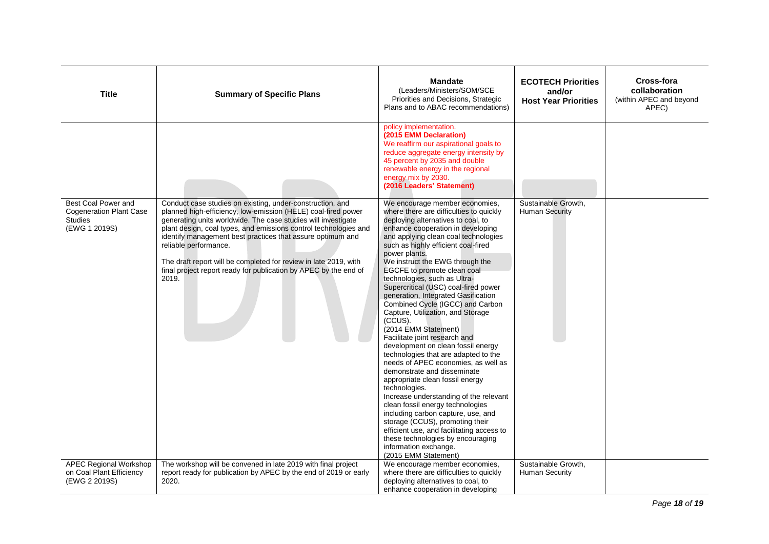| <b>Title</b>                                                                             | <b>Summary of Specific Plans</b>                                                                                                                                                                                                                                                                                                                                                                                                                                                                        | <b>Mandate</b><br>(Leaders/Ministers/SOM/SCE<br>Priorities and Decisions, Strategic<br>Plans and to ABAC recommendations)                                                                                                                                                                                                                                                                                                                                                                                                                                                                                                                                                                                                                                                                                                                                                                                                                                                                                                                                                            | <b>ECOTECH Priorities</b><br>and/or<br><b>Host Year Priorities</b> | Cross-fora<br>collaboration<br>(within APEC and beyond<br>APEC) |
|------------------------------------------------------------------------------------------|---------------------------------------------------------------------------------------------------------------------------------------------------------------------------------------------------------------------------------------------------------------------------------------------------------------------------------------------------------------------------------------------------------------------------------------------------------------------------------------------------------|--------------------------------------------------------------------------------------------------------------------------------------------------------------------------------------------------------------------------------------------------------------------------------------------------------------------------------------------------------------------------------------------------------------------------------------------------------------------------------------------------------------------------------------------------------------------------------------------------------------------------------------------------------------------------------------------------------------------------------------------------------------------------------------------------------------------------------------------------------------------------------------------------------------------------------------------------------------------------------------------------------------------------------------------------------------------------------------|--------------------------------------------------------------------|-----------------------------------------------------------------|
|                                                                                          |                                                                                                                                                                                                                                                                                                                                                                                                                                                                                                         | policy implementation.<br>(2015 EMM Declaration)<br>We reaffirm our aspirational goals to<br>reduce aggregate energy intensity by<br>45 percent by 2035 and double<br>renewable energy in the regional<br>energy mix by 2030.<br>(2016 Leaders' Statement)                                                                                                                                                                                                                                                                                                                                                                                                                                                                                                                                                                                                                                                                                                                                                                                                                           |                                                                    |                                                                 |
| Best Coal Power and<br><b>Cogeneration Plant Case</b><br><b>Studies</b><br>(EWG 1 2019S) | Conduct case studies on existing, under-construction, and<br>planned high-efficiency, low-emission (HELE) coal-fired power<br>generating units worldwide. The case studies will investigate<br>plant design, coal types, and emissions control technologies and<br>identify management best practices that assure optimum and<br>reliable performance.<br>The draft report will be completed for review in late 2019, with<br>final project report ready for publication by APEC by the end of<br>2019. | We encourage member economies,<br>where there are difficulties to quickly<br>deploying alternatives to coal, to<br>enhance cooperation in developing<br>and applying clean coal technologies<br>such as highly efficient coal-fired<br>power plants.<br>We instruct the EWG through the<br>EGCFE to promote clean coal<br>technologies, such as Ultra-<br>Supercritical (USC) coal-fired power<br>generation, Integrated Gasification<br>Combined Cycle (IGCC) and Carbon<br>Capture, Utilization, and Storage<br>(CCUS).<br>(2014 EMM Statement)<br>Facilitate joint research and<br>development on clean fossil energy<br>technologies that are adapted to the<br>needs of APEC economies, as well as<br>demonstrate and disseminate<br>appropriate clean fossil energy<br>technologies.<br>Increase understanding of the relevant<br>clean fossil energy technologies<br>including carbon capture, use, and<br>storage (CCUS), promoting their<br>efficient use, and facilitating access to<br>these technologies by encouraging<br>information exchange.<br>(2015 EMM Statement) | Sustainable Growth,<br><b>Human Security</b>                       |                                                                 |
| <b>APEC Regional Workshop</b><br>on Coal Plant Efficiency<br>(EWG 2 2019S)               | The workshop will be convened in late 2019 with final project<br>report ready for publication by APEC by the end of 2019 or early<br>2020.                                                                                                                                                                                                                                                                                                                                                              | We encourage member economies,<br>where there are difficulties to quickly<br>deploying alternatives to coal, to<br>enhance cooperation in developing                                                                                                                                                                                                                                                                                                                                                                                                                                                                                                                                                                                                                                                                                                                                                                                                                                                                                                                                 | Sustainable Growth,<br><b>Human Security</b>                       |                                                                 |